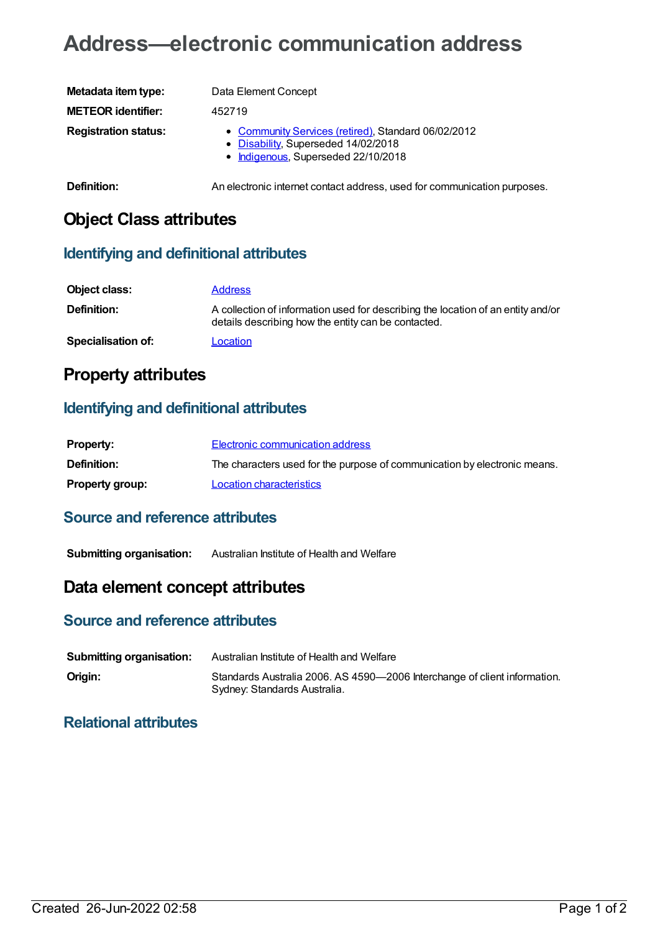# **Address—electronic communication address**

| Metadata item type:         | Data Element Concept                                                                                                              |
|-----------------------------|-----------------------------------------------------------------------------------------------------------------------------------|
| <b>METEOR identifier:</b>   | 452719                                                                                                                            |
| <b>Registration status:</b> | • Community Services (retired), Standard 06/02/2012<br>• Disability, Superseded 14/02/2018<br>• Indigenous, Superseded 22/10/2018 |
| Definition:                 | An electronic internet contact address, used for communication purposes.                                                          |

# **Object Class attributes**

#### **Identifying and definitional attributes**

| Object class:             | <b>Address</b>                                                                                                                          |
|---------------------------|-----------------------------------------------------------------------------------------------------------------------------------------|
| Definition:               | A collection of information used for describing the location of an entity and/or<br>details describing how the entity can be contacted. |
| <b>Specialisation of:</b> | Location                                                                                                                                |

# **Property attributes**

#### **Identifying and definitional attributes**

| <b>Property:</b>       | Electronic communication address                                          |
|------------------------|---------------------------------------------------------------------------|
| <b>Definition:</b>     | The characters used for the purpose of communication by electronic means. |
| <b>Property group:</b> | Location characteristics                                                  |

#### **Source and reference attributes**

**Submitting organisation:** Australian Institute of Health and Welfare

## **Data element concept attributes**

#### **Source and reference attributes**

| <b>Submitting organisation:</b> | Australian Institute of Health and Welfare                                                                |
|---------------------------------|-----------------------------------------------------------------------------------------------------------|
| Origin:                         | Standards Australia 2006. AS 4590-2006 Interchange of client information.<br>Sydney: Standards Australia. |

### **Relational attributes**